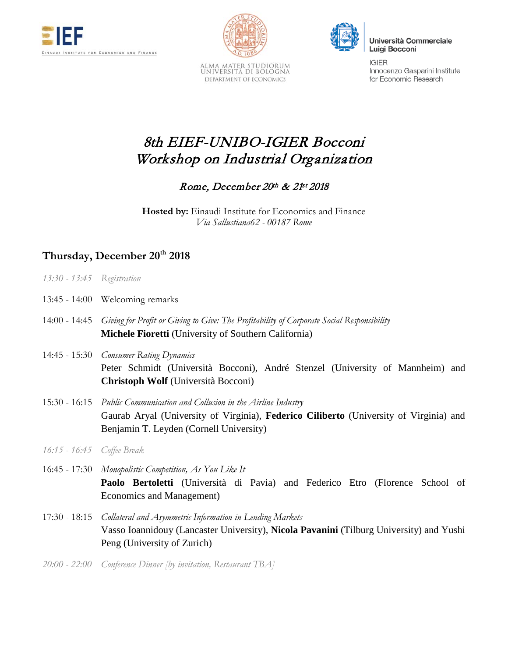



ALMA MATER STUDIORUM<br>Università di Bologna DEPARTMENT OF ECONOMICS



Università Commerciale Luigi Bocconi

**IGIFR** Innocenzo Gasparini Institute for Economic Research

## 8th EIEF-UNIBO-IGIER Bocconi Workshop on Industrial Organization

## Rome, December 20th & 21st 2018

**Hosted by:** Einaudi Institute for Economics and Finance *Via Sallustiana62 - 00187 Rome*

## **Thursday, December 20th 2018**

- 13:45 14:00 Welcoming remarks
- 14:00 14:45 *Giving for Profit or Giving to Give: The Profitability of Corporate Social Responsibility* **Michele Fioretti** (University of Southern California)
- 14:45 15:30 *Consumer Rating Dynamics* Peter Schmidt (Università Bocconi), André Stenzel (University of Mannheim) and **Christoph Wolf** (Università Bocconi)
- 15:30 16:15 *Public Communication and Collusion in the Airline Industry* Gaurab Aryal (University of Virginia), **Federico Ciliberto** (University of Virginia) and Benjamin T. Leyden (Cornell University)
- *16:15 - 16:45 Coffee Break*

16:45 - 17:30 *Monopolistic Competition, As You Like It* **Paolo Bertoletti** (Università di Pavia) and Federico Etro (Florence School of Economics and Management)

- 17:30 18:15 *Collateral and Asymmetric Information in Lending Markets* Vasso Ioannidouy (Lancaster University), **Nicola Pavanini** (Tilburg University) and Yushi Peng (University of Zurich)
- *20:00 - 22:00 Conference Dinner [by invitation, Restaurant TBA]*